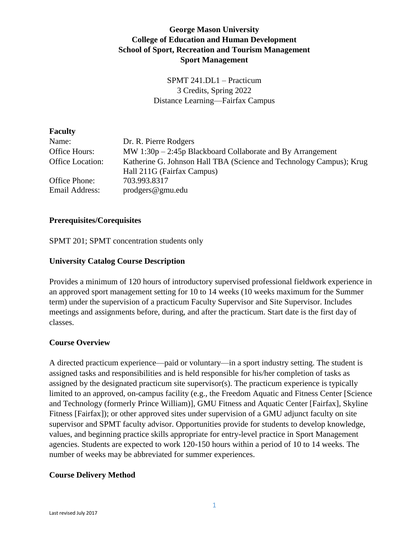# **George Mason University College of Education and Human Development School of Sport, Recreation and Tourism Management Sport Management**

SPMT 241.DL1 – Practicum 3 Credits, Spring 2022 Distance Learning—Fairfax Campus

| <b>Faculty</b>                  |                                                                                                   |
|---------------------------------|---------------------------------------------------------------------------------------------------|
| Name:                           | Dr. R. Pierre Rodgers                                                                             |
| Office Hours:                   | $MW 1:30p - 2:45p Blackboard Collaborate and By Arrangement$                                      |
| Office Location:                | Katherine G. Johnson Hall TBA (Science and Technology Campus); Krug<br>Hall 211G (Fairfax Campus) |
| Office Phone:<br>Email Address: | 703.993.8317<br>$\text{prodegrees} @ \text{gmu.edu}$                                              |

#### **Prerequisites/Corequisites**

SPMT 201; SPMT concentration students only

#### **University Catalog Course Description**

Provides a minimum of 120 hours of introductory supervised professional fieldwork experience in an approved sport management setting for 10 to 14 weeks (10 weeks maximum for the Summer term) under the supervision of a practicum Faculty Supervisor and Site Supervisor. Includes meetings and assignments before, during, and after the practicum. Start date is the first day of classes.

#### **Course Overview**

A directed practicum experience—paid or voluntary—in a sport industry setting. The student is assigned tasks and responsibilities and is held responsible for his/her completion of tasks as assigned by the designated practicum site supervisor(s). The practicum experience is typically limited to an approved, on-campus facility (e.g., the Freedom Aquatic and Fitness Center [Science and Technology (formerly Prince William)], GMU Fitness and Aquatic Center [Fairfax], Skyline Fitness [Fairfax]); or other approved sites under supervision of a GMU adjunct faculty on site supervisor and SPMT faculty advisor. Opportunities provide for students to develop knowledge, values, and beginning practice skills appropriate for entry-level practice in Sport Management agencies. Students are expected to work 120-150 hours within a period of 10 to 14 weeks. The number of weeks may be abbreviated for summer experiences.

#### **Course Delivery Method**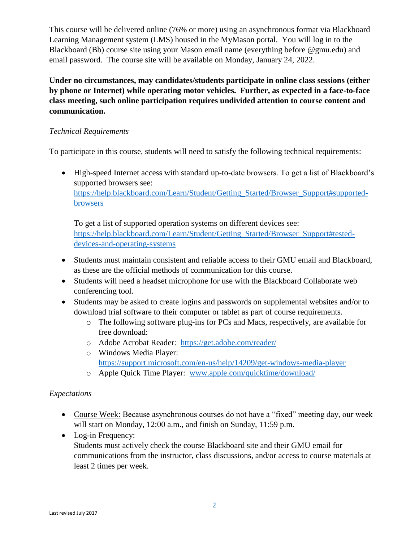This course will be delivered online (76% or more) using an asynchronous format via Blackboard Learning Management system (LMS) housed in the MyMason portal. You will log in to the Blackboard (Bb) course site using your Mason email name (everything before @gmu.edu) and email password. The course site will be available on Monday, January 24, 2022.

**Under no circumstances, may candidates/students participate in online class sessions (either by phone or Internet) while operating motor vehicles. Further, as expected in a face-to-face class meeting, such online participation requires undivided attention to course content and communication.**

# *Technical Requirements*

To participate in this course, students will need to satisfy the following technical requirements:

• High-speed Internet access with standard up-to-date browsers. To get a list of Blackboard's supported browsers see: [https://help.blackboard.com/Learn/Student/Getting\\_Started/Browser\\_Support#supported-](https://help.blackboard.com/Learn/Student/Getting_Started/Browser_Support#supported-browsers)

[browsers](https://help.blackboard.com/Learn/Student/Getting_Started/Browser_Support#supported-browsers)

To get a list of supported operation systems on different devices see: [https://help.blackboard.com/Learn/Student/Getting\\_Started/Browser\\_Support#tested](https://help.blackboard.com/Learn/Student/Getting_Started/Browser_Support#tested-devices-and-operating-systems)[devices-and-operating-systems](https://help.blackboard.com/Learn/Student/Getting_Started/Browser_Support#tested-devices-and-operating-systems)

- Students must maintain consistent and reliable access to their GMU email and Blackboard, as these are the official methods of communication for this course.
- Students will need a headset microphone for use with the Blackboard Collaborate web conferencing tool.
- Students may be asked to create logins and passwords on supplemental websites and/or to download trial software to their computer or tablet as part of course requirements.
	- o The following software plug-ins for PCs and Macs, respectively, are available for free download:
	- o Adobe Acrobat Reader: <https://get.adobe.com/reader/>
	- o Windows Media Player: <https://support.microsoft.com/en-us/help/14209/get-windows-media-player>
	- o Apple Quick Time Player: [www.apple.com/quicktime/download/](http://www.apple.com/quicktime/download/)

# *Expectations*

- Course Week: Because asynchronous courses do not have a "fixed" meeting day, our week will start on Monday, 12:00 a.m., and finish on Sunday, 11:59 p.m.
- Log-in Frequency:

Students must actively check the course Blackboard site and their GMU email for communications from the instructor, class discussions, and/or access to course materials at least 2 times per week.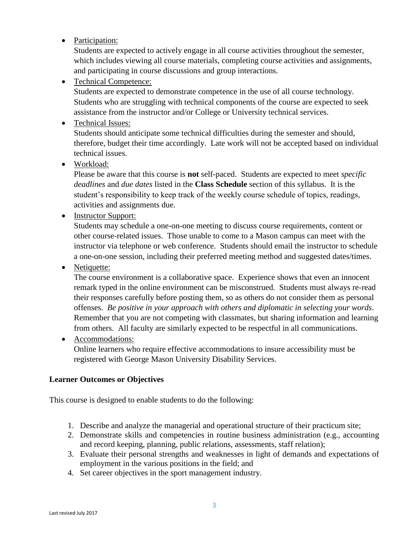• Participation:

Students are expected to actively engage in all course activities throughout the semester, which includes viewing all course materials, completing course activities and assignments, and participating in course discussions and group interactions.

• Technical Competence:

Students are expected to demonstrate competence in the use of all course technology. Students who are struggling with technical components of the course are expected to seek assistance from the instructor and/or College or University technical services.

• Technical Issues:

Students should anticipate some technical difficulties during the semester and should, therefore, budget their time accordingly. Late work will not be accepted based on individual technical issues.

• Workload:

Please be aware that this course is **not** self-paced. Students are expected to meet *specific deadlines* and *due dates* listed in the **Class Schedule** section of this syllabus. It is the student's responsibility to keep track of the weekly course schedule of topics, readings, activities and assignments due.

• Instructor Support:

Students may schedule a one-on-one meeting to discuss course requirements, content or other course-related issues. Those unable to come to a Mason campus can meet with the instructor via telephone or web conference. Students should email the instructor to schedule a one-on-one session, including their preferred meeting method and suggested dates/times.

• Netiquette:

The course environment is a collaborative space. Experience shows that even an innocent remark typed in the online environment can be misconstrued. Students must always re-read their responses carefully before posting them, so as others do not consider them as personal offenses. *Be positive in your approach with others and diplomatic in selecting your words*. Remember that you are not competing with classmates, but sharing information and learning from others. All faculty are similarly expected to be respectful in all communications.

• Accommodations:

Online learners who require effective accommodations to insure accessibility must be registered with George Mason University Disability Services.

## **Learner Outcomes or Objectives**

This course is designed to enable students to do the following:

- 1. Describe and analyze the managerial and operational structure of their practicum site;
- 2. Demonstrate skills and competencies in routine business administration (e.g., accounting and record keeping, planning, public relations, assessments, staff relation);
- 3. Evaluate their personal strengths and weaknesses in light of demands and expectations of employment in the various positions in the field; and
- 4. Set career objectives in the sport management industry.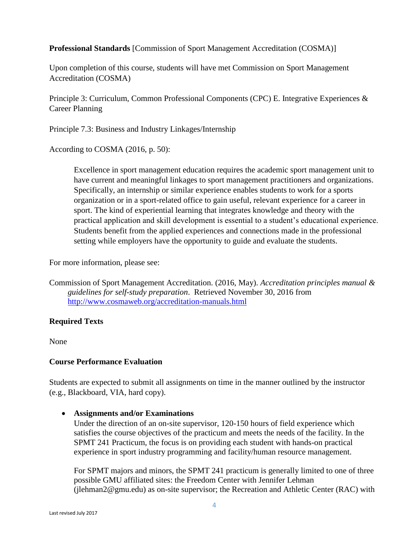## **Professional Standards** [Commission of Sport Management Accreditation (COSMA)]

Upon completion of this course, students will have met Commission on Sport Management Accreditation (COSMA)

Principle 3: Curriculum, Common Professional Components (CPC) E. Integrative Experiences & Career Planning

Principle 7.3: Business and Industry Linkages/Internship

According to COSMA (2016, p. 50):

Excellence in sport management education requires the academic sport management unit to have current and meaningful linkages to sport management practitioners and organizations. Specifically, an internship or similar experience enables students to work for a sports organization or in a sport-related office to gain useful, relevant experience for a career in sport. The kind of experiential learning that integrates knowledge and theory with the practical application and skill development is essential to a student's educational experience. Students benefit from the applied experiences and connections made in the professional setting while employers have the opportunity to guide and evaluate the students.

For more information, please see:

Commission of Sport Management Accreditation. (2016, May). *Accreditation principles manual & guidelines for self-study preparation*. Retrieved November 30, 2016 from <http://www.cosmaweb.org/accreditation-manuals.html>

## **Required Texts**

None

#### **Course Performance Evaluation**

Students are expected to submit all assignments on time in the manner outlined by the instructor (e.g., Blackboard, VIA, hard copy).

• **Assignments and/or Examinations**

Under the direction of an on-site supervisor, 120-150 hours of field experience which satisfies the course objectives of the practicum and meets the needs of the facility. In the SPMT 241 Practicum, the focus is on providing each student with hands-on practical experience in sport industry programming and facility/human resource management.

For SPMT majors and minors, the SPMT 241 practicum is generally limited to one of three possible GMU affiliated sites: the Freedom Center with Jennifer Lehman (jlehman2@gmu.edu) as on-site supervisor; the Recreation and Athletic Center (RAC) with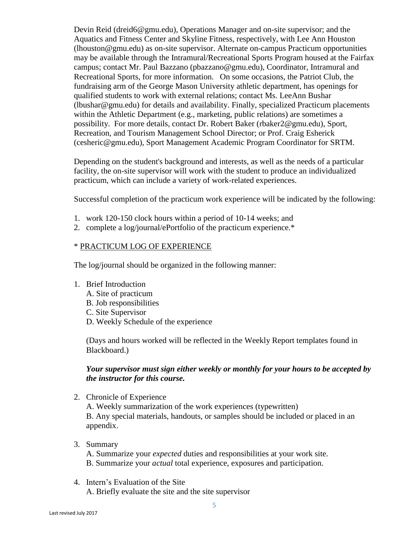Devin Reid (dreid6@gmu.edu), Operations Manager and on-site supervisor; and the Aquatics and Fitness Center and Skyline Fitness, respectively, with Lee Ann Houston (lhouston@gmu.edu) as on-site supervisor. Alternate on-campus Practicum opportunities may be available through the Intramural/Recreational Sports Program housed at the Fairfax campus; contact Mr. Paul Bazzano (pbazzano@gmu.edu), Coordinator, Intramural and Recreational Sports, for more information. On some occasions, the Patriot Club, the fundraising arm of the George Mason University athletic department, has openings for qualified students to work with external relations; contact Ms. LeeAnn Bushar (lbushar@gmu.edu) for details and availability. Finally, specialized Practicum placements within the Athletic Department (e.g., marketing, public relations) are sometimes a possibility. For more details, contact Dr. Robert Baker (rbaker2@gmu.edu), Sport, Recreation, and Tourism Management School Director; or Prof. Craig Esherick (cesheric@gmu.edu), Sport Management Academic Program Coordinator for SRTM.

Depending on the student's background and interests, as well as the needs of a particular facility, the on-site supervisor will work with the student to produce an individualized practicum, which can include a variety of work-related experiences.

Successful completion of the practicum work experience will be indicated by the following:

- 1. work 120-150 clock hours within a period of 10-14 weeks; and
- 2. complete a log/journal/ePortfolio of the practicum experience.\*

#### \* PRACTICUM LOG OF EXPERIENCE

The log/journal should be organized in the following manner:

- 1. Brief Introduction
	- A. Site of practicum
	- B. Job responsibilities
	- C. Site Supervisor
	- D. Weekly Schedule of the experience

(Days and hours worked will be reflected in the Weekly Report templates found in Blackboard.)

#### *Your supervisor must sign either weekly or monthly for your hours to be accepted by the instructor for this course.*

2. Chronicle of Experience

A. Weekly summarization of the work experiences (typewritten) B. Any special materials, handouts, or samples should be included or placed in an appendix.

3. Summary

A. Summarize your *expected* duties and responsibilities at your work site. B. Summarize your *actual* total experience, exposures and participation.

4. Intern's Evaluation of the Site A. Briefly evaluate the site and the site supervisor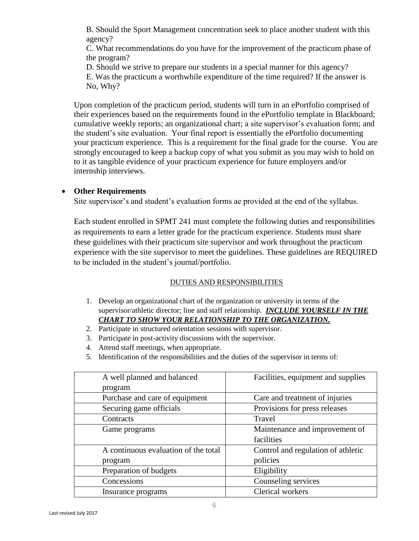B. Should the Sport Management concentration seek to place another student with this agency?

C. What recommendations do you have for the improvement of the practicum phase of the program?

D. Should we strive to prepare our students in a special manner for this agency?

E. Was the practicum a worthwhile expenditure of the time required? If the answer is No, Why?

Upon completion of the practicum period, students will turn in an ePortfolio comprised of their experiences based on the requirements found in the ePortfolio template in Blackboard; cumulative weekly reports; an organizational chart; a site supervisor's evaluation form; and the student's site evaluation. Your final report is essentially the ePortfolio documenting your practicum experience. This is a requirement for the final grade for the course. You are strongly encouraged to keep a backup copy of what you submit as you may wish to hold on to it as tangible evidence of your practicum experience for future employers and/or internship interviews.

## • **Other Requirements**

Site supervisor's and student's evaluation forms ae provided at the end of the syllabus.

Each student enrolled in SPMT 241 must complete the following duties and responsibilities as requirements to earn a letter grade for the practicum experience. Students must share these guidelines with their practicum site supervisor and work throughout the practicum experience with the site supervisor to meet the guidelines. These guidelines are REQUIRED to be included in the student's journal/portfolio.

## DUTIES AND RESPONSIBILITIES

- 1. Develop an organizational chart of the organization or university in terms of the supervisor/athletic director; line and staff relationship. *INCLUDE YOURSELF IN THE CHART TO SHOW YOUR RELATIONSHIP TO THE ORGANIZATION.*
- 2. Participate in structured orientation sessions with supervisor.
- 3. Participate in post-activity discussions with the supervisor.
- 4. Attend staff meetings, when appropriate.
- 5. Identification of the responsibilities and the duties of the supervisor in terms of:

| A well planned and balanced          | Facilities, equipment and supplies |  |
|--------------------------------------|------------------------------------|--|
| program                              |                                    |  |
| Purchase and care of equipment       | Care and treatment of injuries     |  |
| Securing game officials              | Provisions for press releases      |  |
| Contracts                            | Travel                             |  |
| Game programs                        | Maintenance and improvement of     |  |
|                                      | facilities                         |  |
| A continuous evaluation of the total | Control and regulation of athletic |  |
| program                              | policies                           |  |
| Preparation of budgets               | Eligibility                        |  |
| Concessions                          | Counseling services                |  |
| Insurance programs                   | <b>Clerical workers</b>            |  |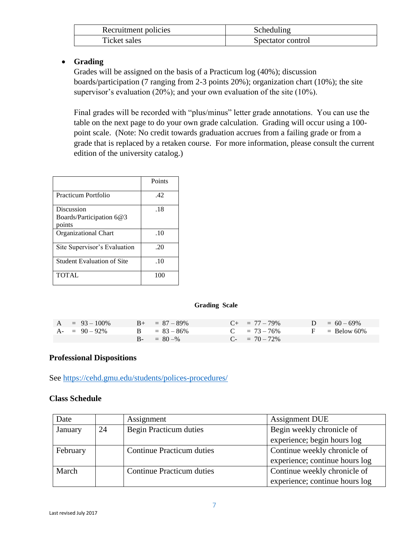| Recruitment policies | Scheduling        |  |
|----------------------|-------------------|--|
| Ticket sales         | Spectator control |  |

## • **Grading**

Grades will be assigned on the basis of a Practicum log (40%); discussion boards/participation (7 ranging from 2-3 points 20%); organization chart (10%); the site supervisor's evaluation (20%); and your own evaluation of the site (10%).

Final grades will be recorded with "plus/minus" letter grade annotations. You can use the table on the next page to do your own grade calculation. Grading will occur using a 100 point scale. (Note: No credit towards graduation accrues from a failing grade or from a grade that is replaced by a retaken course. For more information, please consult the current edition of the university catalog.)

|                                                  | Points |
|--------------------------------------------------|--------|
| Practicum Portfolio                              | .42    |
| Discussion<br>Boards/Participation 6@3<br>points | .18    |
| <b>Organizational Chart</b>                      | .10    |
| Site Supervisor's Evaluation                     | .20    |
| <b>Student Evaluation of Site</b>                | .10    |
| <b>TOTAL</b>                                     | 100    |

#### **Grading Scale**

| $A = 93 - 100\%$ | $B_{+} = 87 - 89\%$ | $C_{+}$ = 77 - 79% | $D = 60 - 69\%$ |
|------------------|---------------------|--------------------|-----------------|
| $A - 90 - 92\%$  | $B = 83 - 86\%$     | $C = 73 - 76\%$    | $F =$ Below 60% |
|                  | $B - = 80 - %$      | $C_{-}$ = 70 - 72% |                 |

#### **Professional Dispositions**

See<https://cehd.gmu.edu/students/polices-procedures/>

#### **Class Schedule**

| Date     |    | Assignment                       | <b>Assignment DUE</b>          |  |
|----------|----|----------------------------------|--------------------------------|--|
| January  | 24 | <b>Begin Practicum duties</b>    | Begin weekly chronicle of      |  |
|          |    |                                  | experience; begin hours log    |  |
| February |    | <b>Continue Practicum duties</b> | Continue weekly chronicle of   |  |
|          |    |                                  | experience; continue hours log |  |
| March    |    | <b>Continue Practicum duties</b> | Continue weekly chronicle of   |  |
|          |    |                                  | experience; continue hours log |  |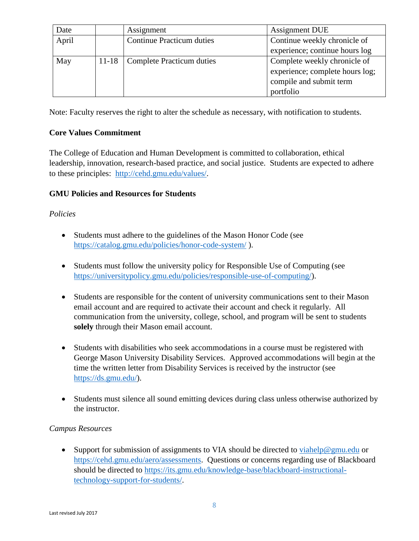| Date  |                                  | Assignment                       | <b>Assignment DUE</b>           |
|-------|----------------------------------|----------------------------------|---------------------------------|
| April | <b>Continue Practicum duties</b> |                                  | Continue weekly chronicle of    |
|       |                                  |                                  | experience; continue hours log  |
| May   | $11 - 18$                        | <b>Complete Practicum duties</b> | Complete weekly chronicle of    |
|       |                                  |                                  | experience; complete hours log; |
|       |                                  |                                  | compile and submit term         |
|       |                                  |                                  | portfolio                       |

Note: Faculty reserves the right to alter the schedule as necessary, with notification to students.

## **Core Values Commitment**

The College of Education and Human Development is committed to collaboration, ethical leadership, innovation, research-based practice, and social justice. Students are expected to adhere to these principles: [http://cehd.gmu.edu/values/.](http://cehd.gmu.edu/values/)

## **GMU Policies and Resources for Students**

## *Policies*

- Students must adhere to the guidelines of the Mason Honor Code (see <https://catalog.gmu.edu/policies/honor-code-system/> ).
- Students must follow the university policy for Responsible Use of Computing (see [https://universitypolicy.gmu.edu/policies/responsible-use-of-computing/\)](https://universitypolicy.gmu.edu/policies/responsible-use-of-computing/).
- Students are responsible for the content of university communications sent to their Mason email account and are required to activate their account and check it regularly. All communication from the university, college, school, and program will be sent to students **solely** through their Mason email account.
- Students with disabilities who seek accommodations in a course must be registered with George Mason University Disability Services. Approved accommodations will begin at the time the written letter from Disability Services is received by the instructor (see [https://ds.gmu.edu/\)](https://ds.gmu.edu/).
- Students must silence all sound emitting devices during class unless otherwise authorized by the instructor.

#### *Campus Resources*

• Support for submission of assignments to VIA should be directed to  $viahelp@gmu.edu$  or [https://cehd.gmu.edu/aero/assessments.](https://cehd.gmu.edu/aero/assessments) Questions or concerns regarding use of Blackboard should be directed to [https://its.gmu.edu/knowledge-base/blackboard-instructional](https://its.gmu.edu/knowledge-base/blackboard-instructional-technology-support-for-students/)[technology-support-for-students/.](https://its.gmu.edu/knowledge-base/blackboard-instructional-technology-support-for-students/)